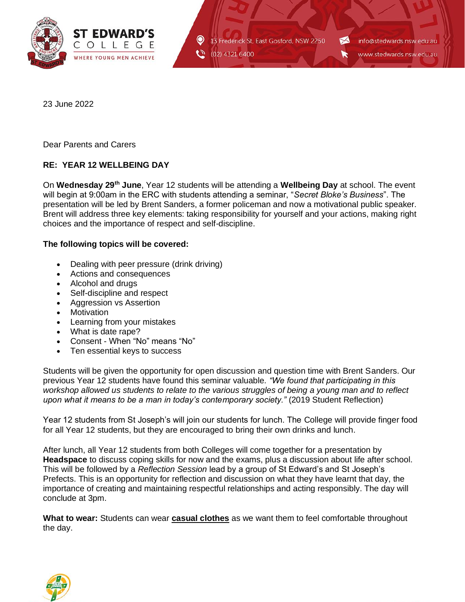

13 Frederick St, East Gosford, NSW 2250 (02) 4321 6400

info@stedwards.nsw.edu.au www.stedwards.nsw.edu.au

23 June 2022

Dear Parents and Carers

## **RE: YEAR 12 WELLBEING DAY**

On **Wednesday 29th June**, Year 12 students will be attending a **Wellbeing Day** at school. The event will begin at 9:00am in the ERC with students attending a seminar, "*Secret Bloke's Business*". The presentation will be led by Brent Sanders, a former policeman and now a motivational public speaker. Brent will address three key elements: taking responsibility for yourself and your actions, making right choices and the importance of respect and self-discipline.

## **The following topics will be covered:**

- Dealing with peer pressure (drink driving)
- Actions and consequences
- Alcohol and drugs
- Self-discipline and respect
- Aggression vs Assertion
- Motivation
- Learning from your mistakes
- What is date rape?
- Consent When "No" means "No"
- Ten essential keys to success

Students will be given the opportunity for open discussion and question time with Brent Sanders. Our previous Year 12 students have found this seminar valuable. *"We found that participating in this workshop allowed us students to relate to the various struggles of being a young man and to reflect upon what it means to be a man in today's contemporary society."* (2019 Student Reflection)

Year 12 students from St Joseph's will join our students for lunch. The College will provide finger food for all Year 12 students, but they are encouraged to bring their own drinks and lunch.

After lunch, all Year 12 students from both Colleges will come together for a presentation by **Headspace** to discuss coping skills for now and the exams, plus a discussion about life after school. This will be followed by a *Reflection Session* lead by a group of St Edward's and St Joseph's Prefects. This is an opportunity for reflection and discussion on what they have learnt that day, the importance of creating and maintaining respectful relationships and acting responsibly. The day will conclude at 3pm.

**What to wear:** Students can wear **casual clothes** as we want them to feel comfortable throughout the day.